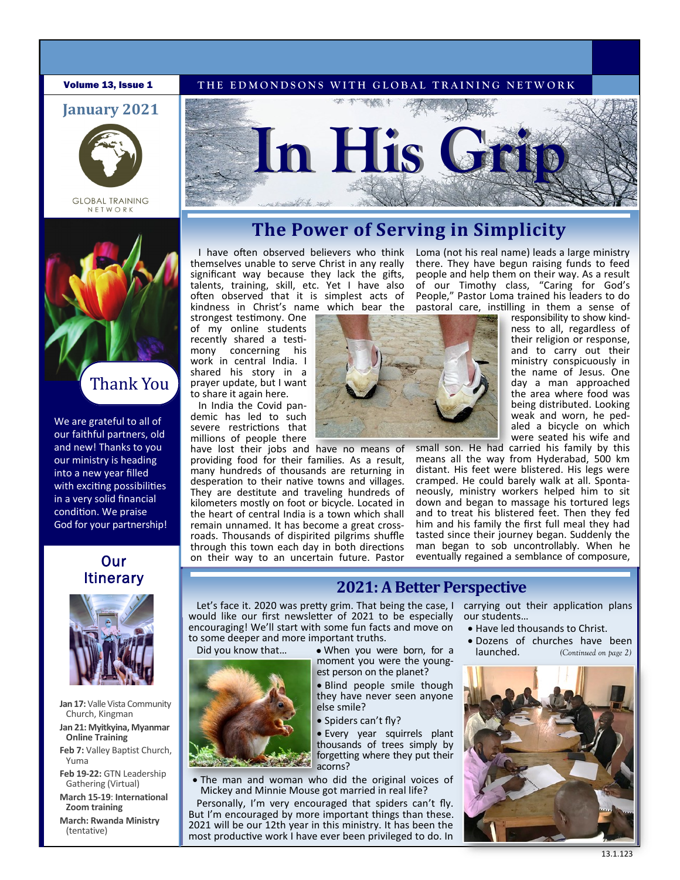### **Volume 13, Issue 1** THE EDMONDSONS WITH GLOBAL TRAINING NETWORK





**GLOBAL TRAINING** NETWORK



Thank You

We are grateful to all of our faithful partners, old and new! Thanks to you our ministry is heading into a new year filled with exciting possibilities in a very solid financial condition. We praise God for your partnership!

# Our **Itinerary**



**Jan 17:** Valle Vista Community Church, Kingman

**Jan 21: Myitkyina, Myanmar Online Training**

**Feb 7:** Valley Baptist Church, Yuma

**Feb 19-22:** GTN Leadership Gathering (Virtual)

**March 15-19**: **International Zoom training**

**March: Rwanda Ministry**  (tentative)



# **The Power of Serving in Simplicity**

I have often observed believers who think themselves unable to serve Christ in any really significant way because they lack the gifts, talents, training, skill, etc. Yet I have also often observed that it is simplest acts of kindness in Christ's name which bear the

strongest testimony. One of my online students recently shared a testimony concerning his work in central India. I shared his story in a prayer update, but I want to share it again here.

In India the Covid pandemic has led to such severe restrictions that millions of people there

have lost their jobs and have no means of providing food for their families. As a result, many hundreds of thousands are returning in desperation to their native towns and villages. They are destitute and traveling hundreds of kilometers mostly on foot or bicycle. Located in the heart of central India is a town which shall remain unnamed. It has become a great crossroads. Thousands of dispirited pilgrims shuffle through this town each day in both directions on their way to an uncertain future. Pastor

there. They have begun raising funds to feed people and help them on their way. As a result of our Timothy class, "Caring for God's People," Pastor Loma trained his leaders to do pastoral care, instilling in them a sense of responsibility to show kind-

Loma (not his real name) leads a large ministry

ness to all, regardless of their religion or response, and to carry out their ministry conspicuously in the name of Jesus. One day a man approached the area where food was being distributed. Looking weak and worn, he pedaled a bicycle on which were seated his wife and

small son. He had carried his family by this means all the way from Hyderabad, 500 km distant. His feet were blistered. His legs were cramped. He could barely walk at all. Spontaneously, ministry workers helped him to sit down and began to massage his tortured legs and to treat his blistered feet. Then they fed him and his family the first full meal they had tasted since their journey began. Suddenly the man began to sob uncontrollably. When he eventually regained a semblance of composure,

# **2021: A Better Perspective**

Let's face it. 2020 was pretty grim. That being the case, I carrying out their application plans would like our first newsletter of 2021 to be especially encouraging! We'll start with some fun facts and move on to some deeper and more important truths.



Did you know that... • When you were born, for a moment you were the youngest person on the planet?

• Blind people smile though they have never seen anyone else smile?

• Spiders can't fly?

• Every year squirrels plant thousands of trees simply by forgetting where they put their acorns?

• The man and woman who did the original voices of Mickey and Minnie Mouse got married in real life?

Personally, I'm very encouraged that spiders can't fly. But I'm encouraged by more important things than these. 2021 will be our 12th year in this ministry. It has been the most productive work I have ever been privileged to do. In

our students…

- Have led thousands to Christ.
- Dozens of churches have been<br>launched.  $(Continued on page 2)$ *(Continued on page 2)*